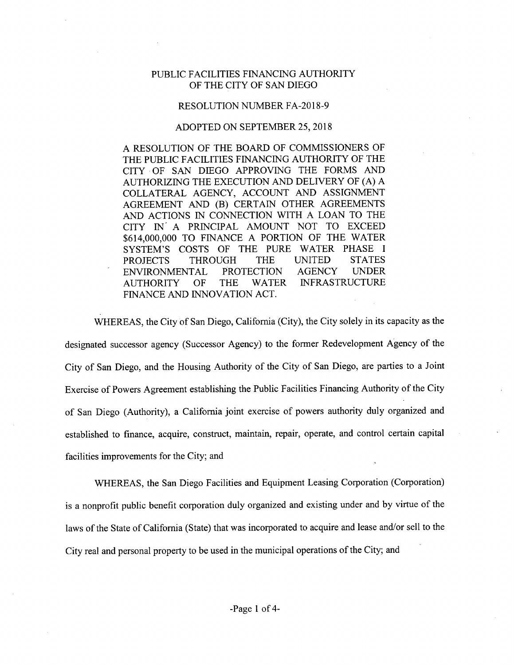## PUBLIC FACILITIES FINANCING AUTHORITY OF THE CITY OF SAN DIEGO

## RESOLUTION NUMBER FA-2018-9

## ADOPTED ON SEPTEMBER 25, 2018

A RESOLUTION OF THE BOARD OF COMMISSIONERS OF THE PUBLIC FACILITIES FINANCING AUTHORITY OF THE CITY OF SAN DIEGO APPROVING THE FORMS AND AUTHORIZING THE EXECUTION AND DELIVERY OF (A) A COLLATERAL AGENCY, ACCOUNT AND ASSIGNMENT AGREEMENT AND (B) CERTAIN OTHER AGREEMENTS AND ACTIONS IN CONNECTION WITH A LOAN TO THE CITY IN' A PRINCIPAL AMOUNT NOT TO EXCEED \$614,000,000 TO FINANCE A PORTION OF THE WATER SYSTEM'S COSTS OF THE PURE WATER PHASE I<br>PROJECTS THROUGH THE UNITED STATES PROJECTS THROUGH THE UNITED STATES<br>ENVIRONMENTAL PROTECTION AGENCY UNDER ENVIRONMENTAL PROTECTION<br>AUTHORITY OF THE WATER **INFRASTRUCTURE** FINANCE AND INNOVATION ACT.

WHEREAS, the City of San Diego, California (City), the City solely in its capacity as the designated successor agency (Successor Agency) to the former Redevelopment Agency of the City of San Diego, and the Housing Authority of the City of San Diego, are parties to a Joint Exercise of Powers Agreement establishing the Public Facilities Financing Authority ofthe City of San Diego (Authority), a California joint exercise of powers authority duly organized and established to finance, acquire, construct, maintain, repair, operate, and control certain capital facilities improvements for the City; and

WHEREAS, the San Diego Facilities and Equipment Leasing Corporation (Corporation) is a nonprofit public benefit corporation duly organized and existing under and by virtue of the laws of the State of California (State) that was incorporated to acquire and lease and/or sell to the City real and personal property to be used in the municipal operations of the City; and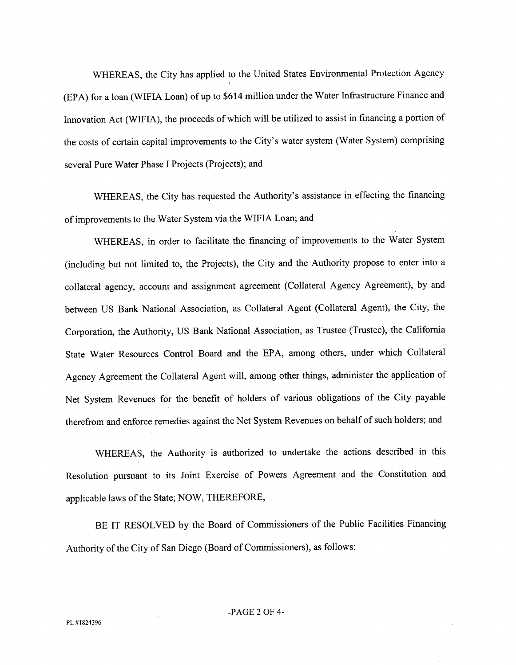WHEREAS, the City has applied to the United States Environmental Protection Agency (EPA) for a loan (WIFIA Loan) of up to \$614 million under the Water Infrastructure Finance and Innovation Act (WIFIA), the proceeds of which will be utilized to assist in financing a portion of the costs of certain capital improvements to the City's water system (Water System) comprising several Pure Water Phase I Projects (Projects); and

WHEREAS, the City has requested the Authority's assistance in effecting the financing ofimprovements to the Water System via the WIFIA Loan; and

WHEREAS, in order to facilitate the financing of improvements to the Water System (including but not limited to, the Projects), the City and the Authority propose to enter into a collateral agency, account and assignment agreement (Collateral Agency Agreement), by and between US Bank National Association, as Collateral Agent (Collateral Agent), the City, the Corporation, the Authority, US Bank National Association, as Trustee (Trustee), the California State Water Resources Control Board and the EPA, among others, under which Collateral Agency Agreement the Collateral Agent will, among other things, administer the application of Net System Revenues for the benefit of holders of various obligations of the City payable therefrom and enforce remedies against the Net System Revenues on behalf of such holders; and

WHEREAS, the Authority is authorized to undertake the actions described in this Resolution pursuant to its Joint Exercise of Powers Agreement and the Constitution and applicable laws of the State; NOW, THEREFORE,

BE IT RESOLVED by the Board of Commissioners of the Public Facilities Financing Authority of the City of San Diego (Board of Commissioners), as follows: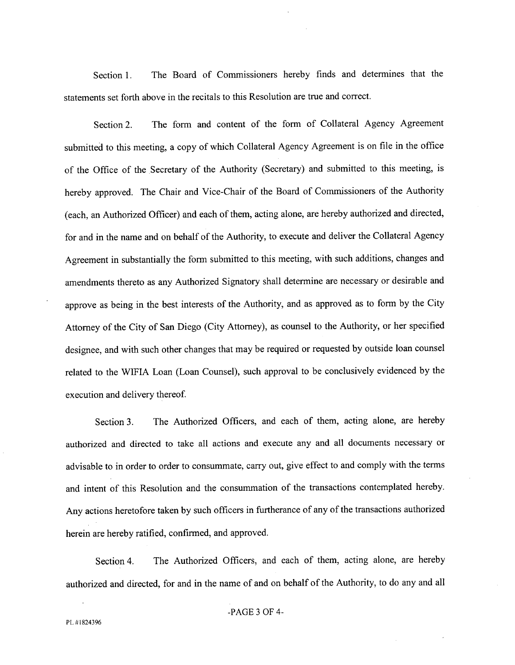Section 1. The Board of Commissioners hereby finds and determines that the statements set forth above in the recitals to this Resolution are true and correct.

Section 2. The form and content of the form of Collateral Agency Agreement submitted to this meeting, a copy of which Collateral Agency Agreement is on file in the office of the Office of the Secretary of the Authority (Secretary) and submitted to this meeting, is hereby approved. The Chair and Vice-Chair of the Board of Commissioners of the Authority (each, an Authorized Officer) and each of them, acting alone, are hereby authorized and directed, for and in the name and on behalf of the Authority, to execute and deliver the Collateral Agency Agreement in substantially the form submitted to this meeting, with such additions, changes and amendments thereto as any Authorized Signatory shall determine are necessary or desirable and approve as being in the best interests of the Authority, and as approved as to form by the City Attorney of the City of San Diego (City Attorney), as counsel to the Authority, or her specified designee, and with such other changes that may be required or requested by outside loan counsel related to the WfFIA Loan (Loan Counsel), such approval to be conclusively evidenced by the execution and delivery thereof

Section 3. The Authorized Officers, and each of them, acting alone, are hereby authorized and directed to take all actions and execute any and all documents necessary or advisable to in order to order to consummate, carry out, give effect to and comply with the terms and intent of this Resolution and the consummation of the transactions contemplated hereby. Any actions heretofore taken by such officers in furtherance of any of the transactions authorized herein are hereby ratified, confirmed, and approved.

Section 4. The Authorized Officers, and each of them, acting alone, are hereby authorized and directed, for and in the name of and on behalf of the Authority, to do any and all